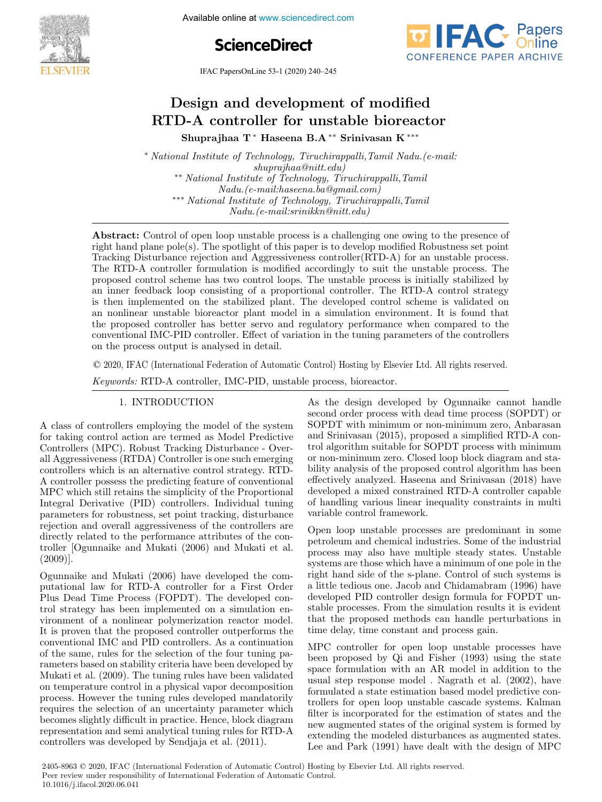Available online at www.sciencedirect.com





IFAC PapersOnLine 53-1 (2020) 240–245

# Design and development of modified RTD-A controller for unstable bioreactor Shuprajhaa T <sup>∗</sup> Haseena B.A ∗∗ Srinivasan K ∗∗∗

<sup>∗</sup> *National Institute of Technology, Tiruchirappalli,Tamil Nadu.(e-mail: shuprajhaa@nitt.edu)* ∗∗ *National Institute of Technology, Tiruchirappalli,Tamil Nadu.(e-mail:haseena.ba@gmail.com)* ∗∗∗ *National Institute of Technology, Tiruchirappalli,Tamil Nadu.(e-mail:srinikkn@nitt.edu)*

Abstract: Control of open loop unstable process is a challenging one owing to the presence of right hand plane pole(s). The spotlight of this paper is to develop modified Robustness set point Tracking Disturbance rejection and Aggressiveness controller(RTD-A) for an unstable process. The RTD-A controller formulation is modified accordingly to suit the unstable process. The proposed control scheme has two control loops. The unstable process is initially stabilized by an inner feedback loop consisting of a proportional controller. The RTD-A control strategy is then implemented on the stabilized plant. The developed control scheme is validated on an nonlinear unstable bioreactor plant model in a simulation environment. It is found that the proposed controller has better servo and regulatory performance when compared to the conventional IMC-PID controller. Effect of variation in the tuning parameters of the controllers on the process output is analysed in detail.

© 2020, IFAC (International Federation of Automatic Control) Hosting by Elsevier Ltd. All rights reserved.

*Keywords:* RTD-A controller, IMC-PID, unstable process, bioreactor.

A class of controllers employing the model of the system for taking control action are termed as Model Predictive Controllers (MPC). Robust Tracking Disturbance - Overall Aggressiveness (RTDA) Controller is one such emerging controllers which is an alternative control strategy. RTD-A controller possess the predicting feature of conventional MPC which still retains the simplicity of the Proportional Integral Derivative (PID) controllers. Individual tuning parameters for robustness, set point tracking, disturbance rejection and overall aggressiveness of the controllers are directly related to the performance attributes of the controller [Ogunnaike and Mukati (2006) and Mukati et al. (2009)].

Ogunnaike and Mukati (2006) have developed the computational law for RTD-A controller for a First Order Plus Dead Time Process (FOPDT). The developed control strategy has been implemented on a simulation environment of a nonlinear polymerization reactor model. It is proven that the proposed controller outperforms the conventional IMC and PID controllers. As a continuation of the same, rules for the selection of the four tuning parameters based on stability criteria have been developed by Mukati et al. (2009). The tuning rules have been validated on temperature control in a physical vapor decomposition process. However the tuning rules developed mandatorily requires the selection of an uncertainty parameter which becomes slightly difficult in practice. Hence, block diagram representation and semi analytical tuning rules for RTD-A controllers was developed by Sendjaja et al. (2011).

1. INTRODUCTION As the design developed by Ogunnaike cannot handle second order process with dead time process (SOPDT) or SOPDT with minimum or non-minimum zero, Anbarasan and Srinivasan (2015), proposed a simplified RTD-A control algorithm suitable for SOPDT process with minimum or non-minimum zero. Closed loop block diagram and stability analysis of the proposed control algorithm has been effectively analyzed. Haseena and Srinivasan (2018) have developed a mixed constrained RTD-A controller capable of handling various linear inequality constraints in multi variable control framework.

> Open loop unstable processes are predominant in some petroleum and chemical industries. Some of the industrial process may also have multiple steady states. Unstable systems are those which have a minimum of one pole in the right hand side of the s-plane. Control of such systems is a little tedious one. Jacob and Chidamabram (1996) have developed PID controller design formula for FOPDT unstable processes. From the simulation results it is evident that the proposed methods can handle perturbations in time delay, time constant and process gain.

> MPC controller for open loop unstable processes have been proposed by Qi and Fisher (1993) using the state space formulation with an AR model in addition to the usual step response model . Nagrath et al. (2002), have formulated a state estimation based model predictive controllers for open loop unstable cascade systems. Kalman filter is incorporated for the estimation of states and the new augmented states of the original system is formed by extending the modeled disturbances as augmented states. Lee and Park (1991) have dealt with the design of MPC

2405-8963 © 2020, IFAC (International Federation of Automatic Control) Hosting by Elsevier Ltd. All rights reserved. Peer review under responsibility of International Federation of Automatic Control. 10.1016/j.ifacol.2020.06.041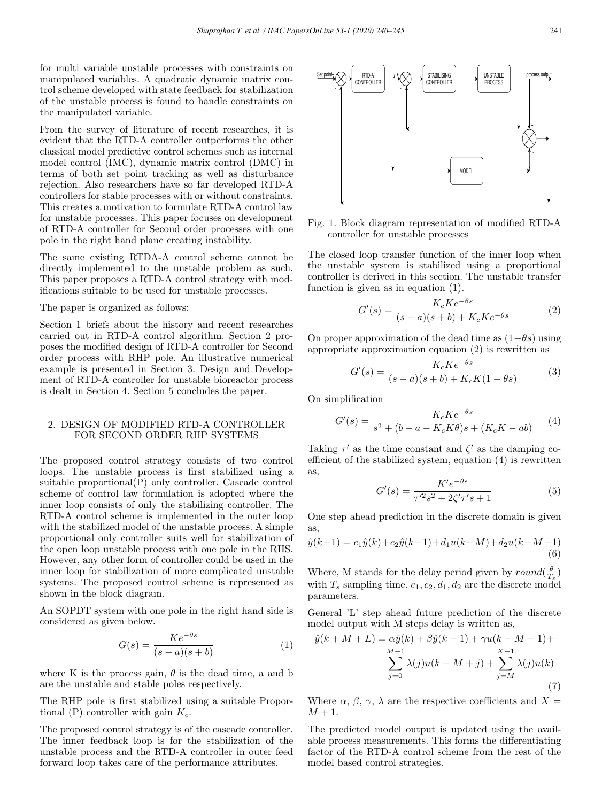for multi variable unstable processes with constraints on manipulated variables. A quadratic dynamic matrix control scheme developed with state feedback for stabilization of the unstable process is found to handle constraints on the manipulated variable.

From the survey of literature of recent researches, it is evident that the RTD-A controller outperforms the other classical model predictive control schemes such as internal model control (IMC), dynamic matrix control (DMC) in terms of both set point tracking as well as disturbance rejection. Also researchers have so far developed RTD-A controllers for stable processes with or without constraints. This creates a motivation to formulate RTD-A control law for unstable processes. This paper focuses on development of RTD-A controller for Second order processes with one pole in the right hand plane creating instability.

The same existing RTDA-A control scheme cannot be directly implemented to the unstable problem as such. This paper proposes a RTD-A control strategy with modifications suitable to be used for unstable processes.

## The paper is organized as follows:

Section 1 briefs about the history and recent researches carried out in RTD-A control algorithm. Section 2 proposes the modified design of RTD-A controller for Second order process with RHP pole. An illustrative numerical example is presented in Section 3. Design and Development of RTD-A controller for unstable bioreactor process is dealt in Section 4. Section 5 concludes the paper.

#### 2. DESIGN OF MODIFIED RTD-A CONTROLLER FOR SECOND ORDER RHP SYSTEMS

The proposed control strategy consists of two control loops. The unstable process is first stabilized using a suitable proportional(P) only controller. Cascade control scheme of control law formulation is adopted where the inner loop consists of only the stabilizing controller. The RTD-A control scheme is implemented in the outer loop with the stabilized model of the unstable process. A simple proportional only controller suits well for stabilization of the open loop unstable process with one pole in the RHS. However, any other form of controller could be used in the inner loop for stabilization of more complicated unstable systems. The proposed control scheme is represented as shown in the block diagram.

An SOPDT system with one pole in the right hand side is considered as given below.

$$
G(s) = \frac{Ke^{-\theta s}}{(s-a)(s+b)}\tag{1}
$$

where K is the process gain,  $\theta$  is the dead time, a and b are the unstable and stable poles respectively.

The RHP pole is first stabilized using a suitable Proportional (P) controller with gain  $K_c$ .

The proposed control strategy is of the cascade controller. The inner feedback loop is for the stabilization of the unstable process and the RTD-A controller in outer feed forward loop takes care of the performance attributes.



Fig. 1. Block diagram representation of modified RTD-A controller for unstable processes

The closed loop transfer function of the inner loop when the unstable system is stabilized using a proportional controller is derived in this section. The unstable transfer function is given as in equation (1).

$$
G'(s) = \frac{K_c K e^{-\theta s}}{(s-a)(s+b) + K_c K e^{-\theta s}}
$$
 (2)

On proper approximation of the dead time as  $(1-\theta s)$  using appropriate approximation equation (2) is rewritten as

$$
G'(s) = \frac{K_c K e^{-\theta s}}{(s-a)(s+b) + K_c K (1-\theta s)}
$$
(3)

On simplification

$$
G'(s) = \frac{K_c K e^{-\theta s}}{s^2 + (b - a - K_c K \theta)s + (K_c K - ab)} \tag{4}
$$

Taking  $\tau'$  as the time constant and  $\zeta'$  as the damping coefficient of the stabilized system, equation (4) is rewritten as,

$$
G'(s) = \frac{K'e^{-\theta s}}{\tau'^2 s^2 + 2\zeta'\tau's + 1}
$$
 (5)

One step ahead prediction in the discrete domain is given as,

$$
\hat{y}(k+1) = c_1 \hat{y}(k) + c_2 \hat{y}(k-1) + d_1 u(k-M) + d_2 u(k-M-1)
$$
\n(6)

Where, M stands for the delay period given by  $round(\frac{\theta}{T_s})$ with  $T_s$  sampling time.  $c_1, c_2, d_1, d_2$  are the discrete model parameters.

General 'L' step ahead future prediction of the discrete model output with M steps delay is written as,

$$
\hat{y}(k+M+L) = \alpha \hat{y}(k) + \beta \hat{y}(k-1) + \gamma u(k-M-1) + \sum_{j=0}^{M-1} \lambda(j)u(k-M+j) + \sum_{j=M}^{X-1} \lambda(j)u(k)
$$
\n(7)

Where  $\alpha$ ,  $\beta$ ,  $\gamma$ ,  $\lambda$  are the respective coefficients and  $X =$  $M+1$ .

The predicted model output is updated using the available process measurements. This forms the differentiating factor of the RTD-A control scheme from the rest of the model based control strategies.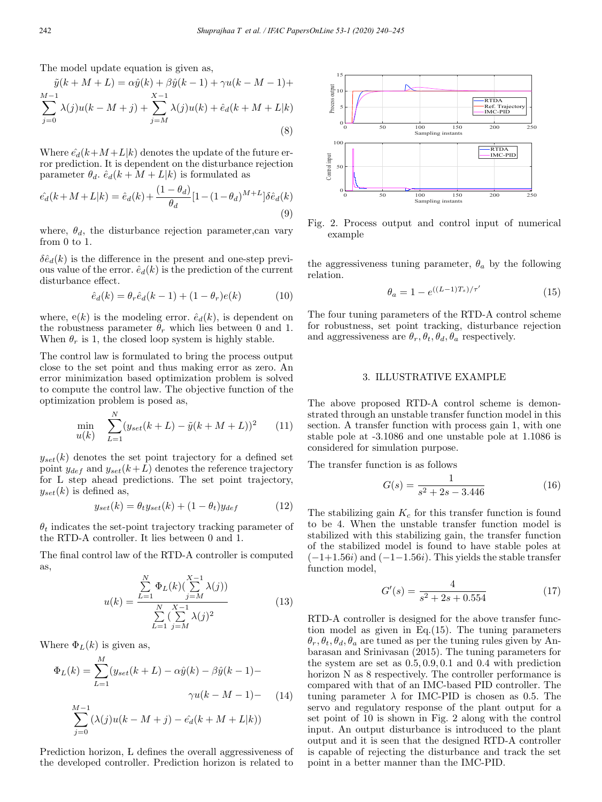The model update equation is given as,

$$
\tilde{y}(k + M + L) = \alpha \hat{y}(k) + \beta \hat{y}(k - 1) + \gamma u(k - M - 1) +
$$
  

$$
\sum_{j=0}^{M-1} \lambda(j)u(k - M + j) + \sum_{j=M}^{X-1} \lambda(j)u(k) + \hat{e}_d(k + M + L|k)
$$
  
(8)

Where  $\hat{e}_d(k+M+L|k)$  denotes the update of the future error prediction. It is dependent on the disturbance rejection parameter  $\theta_d$ .  $\hat{e}_d(k + M + L|k)$  is formulated as

$$
\hat{e_d}(k + M + L|k) = \hat{e}_d(k) + \frac{(1 - \theta_d)}{\theta_d} [1 - (1 - \theta_d)^{M + L}] \delta \hat{e}_d(k)
$$
\n(9)

where,  $\theta_d$ , the disturbance rejection parameter, can vary from 0 to 1.

 $\delta \hat{e}_d(k)$  is the difference in the present and one-step previous value of the error.  $\hat{e}_d(k)$  is the prediction of the current disturbance effect.

$$
\hat{e}_d(k) = \theta_r \hat{e}_d(k-1) + (1 - \theta_r)e(k) \tag{10}
$$

where,  $e(k)$  is the modeling error.  $\hat{e}_d(k)$ , is dependent on the robustness parameter  $\theta_r$  which lies between 0 and 1. When  $\theta_r$  is 1, the closed loop system is highly stable.

The control law is formulated to bring the process output close to the set point and thus making error as zero. An error minimization based optimization problem is solved to compute the control law. The objective function of the optimization problem is posed as,

$$
\min_{u(k)} \sum_{L=1}^{N} (y_{set}(k+L) - \tilde{y}(k+M+L))^2
$$
 (11)

 $y_{set}(k)$  denotes the set point trajectory for a defined set point  $y_{def}$  and  $y_{set}(k+L)$  denotes the reference trajectory for L step ahead predictions. The set point trajectory,  $y_{set}(k)$  is defined as,

$$
y_{set}(k) = \theta_t y_{set}(k) + (1 - \theta_t) y_{def}
$$
 (12)

 $\theta_t$  indicates the set-point trajectory tracking parameter of the RTD-A controller. It lies between 0 and 1.

The final control law of the RTD-A controller is computed as,

$$
u(k) = \frac{\sum_{L=1}^{N} \Phi_L(k) (\sum_{j=M}^{X-1} \lambda(j))}{\sum_{L=1}^{N} (\sum_{j=M}^{X-1} \lambda(j)^2)}
$$
(13)

Where  $\Phi_L(k)$  is given as,

$$
\Phi_L(k) = \sum_{L=1}^{M} (y_{set}(k+L) - \alpha \hat{y}(k) - \beta \hat{y}(k-1) - \gamma u(k-M-1) - \gamma u(k-M-1) - (14) \n\sum_{j=0}^{M-1} (\lambda(j)u(k-M+j) - \hat{e}_d(k+M+L|k))
$$

Prediction horizon, L defines the overall aggressiveness of the developed controller. Prediction horizon is related to



Fig. 2. Process output and control input of numerical example

the aggressiveness tuning parameter,  $\theta_a$  by the following relation.

$$
\theta_a = 1 - e^{((L-1)T_s)/\tau'} \tag{15}
$$

The four tuning parameters of the RTD-A control scheme for robustness, set point tracking, disturbance rejection and aggressiveness are  $\theta_r$ ,  $\theta_t$ ,  $\theta_d$ ,  $\theta_a$  respectively.

#### 3. ILLUSTRATIVE EXAMPLE

The above proposed RTD-A control scheme is demonstrated through an unstable transfer function model in this section. A transfer function with process gain 1, with one stable pole at -3.1086 and one unstable pole at 1.1086 is considered for simulation purpose.

The transfer function is as follows

$$
G(s) = \frac{1}{s^2 + 2s - 3.446} \tag{16}
$$

The stabilizing gain  $K_c$  for this transfer function is found to be 4. When the unstable transfer function model is stabilized with this stabilizing gain, the transfer function of the stabilized model is found to have stable poles at  $(-1+1.56i)$  and  $(-1-1.56i)$ . This yields the stable transfer function model,

$$
G'(s) = \frac{4}{s^2 + 2s + 0.554} \tag{17}
$$

RTD-A controller is designed for the above transfer function model as given in Eq.(15). The tuning parameters  $\theta_r, \theta_t, \theta_d, \theta_a$  are tuned as per the tuning rules given by Anbarasan and Srinivasan (2015). The tuning parameters for the system are set as 0.5, 0.9, 0.1 and 0.4 with prediction horizon N as 8 respectively. The controller performance is compared with that of an IMC-based PID controller. The tuning parameter  $\lambda$  for IMC-PID is chosen as 0.5. The servo and regulatory response of the plant output for a set point of 10 is shown in Fig. 2 along with the control input. An output disturbance is introduced to the plant output and it is seen that the designed RTD-A controller is capable of rejecting the disturbance and track the set point in a better manner than the IMC-PID.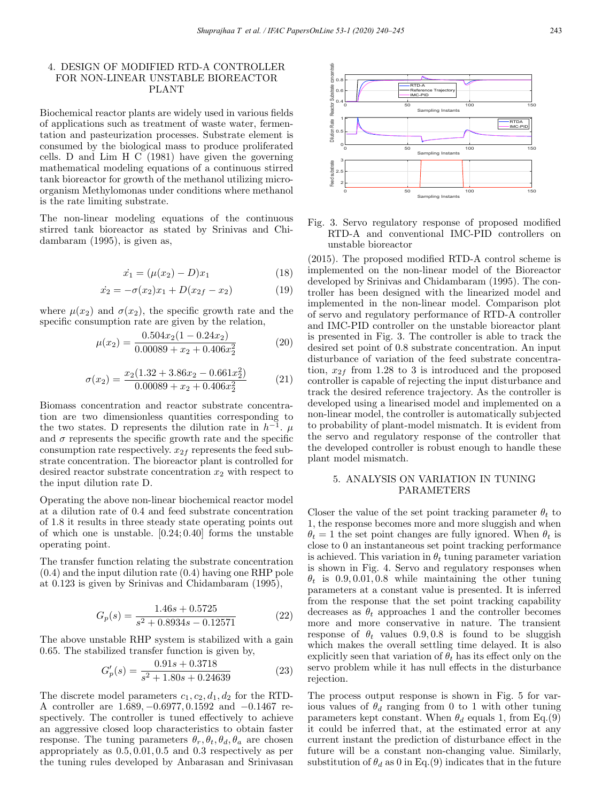# 4. DESIGN OF MODIFIED RTD-A CONTROLLER FOR NON-LINEAR UNSTABLE BIOREACTOR PLANT

Biochemical reactor plants are widely used in various fields of applications such as treatment of waste water, fermentation and pasteurization processes. Substrate element is consumed by the biological mass to produce proliferated cells. D and Lim H C (1981) have given the governing mathematical modeling equations of a continuous stirred tank bioreactor for growth of the methanol utilizing microorganism Methylomonas under conditions where methanol is the rate limiting substrate.

The non-linear modeling equations of the continuous stirred tank bioreactor as stated by Srinivas and Chidambaram (1995), is given as,

$$
\dot{x}_1 = (\mu(x_2) - D)x_1 \tag{18}
$$

$$
\dot{x}_2 = -\sigma(x_2)x_1 + D(x_{2f} - x_2) \tag{19}
$$

where  $\mu(x_2)$  and  $\sigma(x_2)$ , the specific growth rate and the specific consumption rate are given by the relation,

$$
\mu(x_2) = \frac{0.504x_2(1 - 0.24x_2)}{0.00089 + x_2 + 0.406x_2^2} \tag{20}
$$

$$
\sigma(x_2) = \frac{x_2(1.32 + 3.86x_2 - 0.661x_2^2)}{0.00089 + x_2 + 0.406x_2^2}
$$
(21)

Biomass concentration and reactor substrate concentration are two dimensionless quantities corresponding to the two states. D represents the dilution rate in  $h^{-1}$ .  $\mu$ and  $\sigma$  represents the specific growth rate and the specific consumption rate respectively.  $x_{2f}$  represents the feed substrate concentration. The bioreactor plant is controlled for desired reactor substrate concentration  $x_2$  with respect to the input dilution rate D.

Operating the above non-linear biochemical reactor model at a dilution rate of 0.4 and feed substrate concentration of 1.8 it results in three steady state operating points out of which one is unstable. [0.24; 0.40] forms the unstable operating point.

The transfer function relating the substrate concentration (0.4) and the input dilution rate (0.4) having one RHP pole at 0.123 is given by Srinivas and Chidambaram (1995),

$$
G_p(s) = \frac{1.46s + 0.5725}{s^2 + 0.8934s - 0.12571}
$$
 (22)

The above unstable RHP system is stabilized with a gain 0.65. The stabilized transfer function is given by,

$$
G_p'(s) = \frac{0.91s + 0.3718}{s^2 + 1.80s + 0.24639}
$$
 (23)

The discrete model parameters  $c_1, c_2, d_1, d_2$  for the RTD-A controller are 1.689, −0.6977, 0.1592 and −0.1467 respectively. The controller is tuned effectively to achieve an aggressive closed loop characteristics to obtain faster response. The tuning parameters  $\theta_r$ ,  $\theta_t$ ,  $\theta_d$ ,  $\theta_a$  are chosen appropriately as 0.5, 0.01, 0.5 and 0.3 respectively as per the tuning rules developed by Anbarasan and Srinivasan



Fig. 3. Servo regulatory response of proposed modified RTD-A and conventional IMC-PID controllers on unstable bioreactor

(2015). The proposed modified RTD-A control scheme is implemented on the non-linear model of the Bioreactor developed by Srinivas and Chidambaram (1995). The controller has been designed with the linearized model and implemented in the non-linear model. Comparison plot of servo and regulatory performance of RTD-A controller and IMC-PID controller on the unstable bioreactor plant is presented in Fig. 3. The controller is able to track the desired set point of 0.8 substrate concentration. An input disturbance of variation of the feed substrate concentration,  $x_{2f}$  from 1.28 to 3 is introduced and the proposed controller is capable of rejecting the input disturbance and track the desired reference trajectory. As the controller is developed using a linearised model and implemented on a non-linear model, the controller is automatically subjected to probability of plant-model mismatch. It is evident from the servo and regulatory response of the controller that the developed controller is robust enough to handle these plant model mismatch.

# 5. ANALYSIS ON VARIATION IN TUNING PARAMETERS

Closer the value of the set point tracking parameter  $\theta_t$  to 1, the response becomes more and more sluggish and when  $\theta_t = 1$  the set point changes are fully ignored. When  $\theta_t$  is close to 0 an instantaneous set point tracking performance is achieved. This variation in  $\theta_t$  tuning parameter variation is shown in Fig. 4. Servo and regulatory responses when  $\theta_t$  is 0.9, 0.01, 0.8 while maintaining the other tuning parameters at a constant value is presented. It is inferred from the response that the set point tracking capability decreases as  $\theta_t$  approaches 1 and the controller becomes more and more conservative in nature. The transient response of  $\theta_t$  values 0.9, 0.8 is found to be sluggish which makes the overall settling time delayed. It is also explicitly seen that variation of  $\theta_t$  has its effect only on the servo problem while it has null effects in the disturbance rejection.

The process output response is shown in Fig. 5 for various values of  $\theta_d$  ranging from 0 to 1 with other tuning parameters kept constant. When  $\theta_d$  equals 1, from Eq.(9) it could be inferred that, at the estimated error at any current instant the prediction of disturbance effect in the future will be a constant non-changing value. Similarly, substitution of  $\theta_d$  as 0 in Eq.(9) indicates that in the future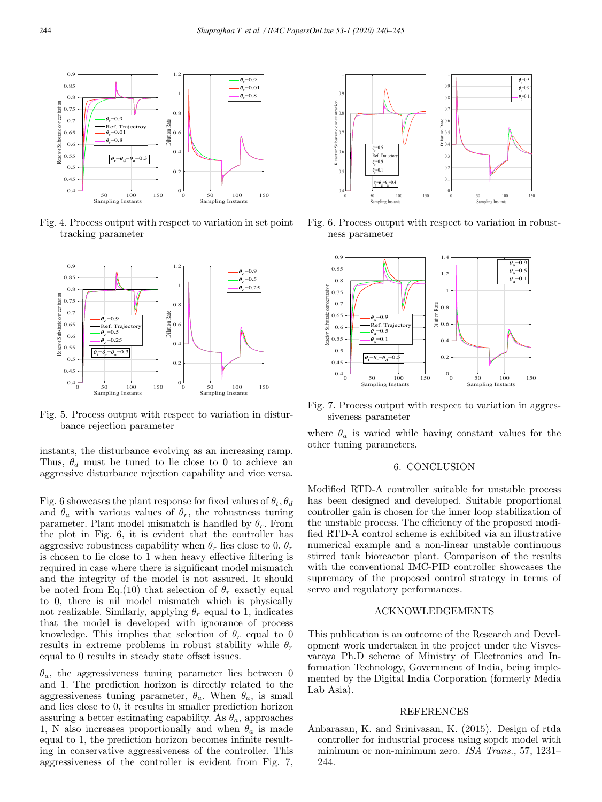

Fig. 4. Process output with respect to variation in set point tracking parameter



Fig. 5. Process output with respect to variation in disturbance rejection parameter

instants, the disturbance evolving as an increasing ramp. Thus,  $\theta_d$  must be tuned to lie close to 0 to achieve an aggressive disturbance rejection capability and vice versa.

Fig. 6 showcases the plant response for fixed values of  $\theta_t$ ,  $\theta_d$ and  $\theta_a$  with various values of  $\theta_r$ , the robustness tuning parameter. Plant model mismatch is handled by  $\theta_r$ . From the plot in Fig. 6, it is evident that the controller has aggressive robustness capability when  $\theta_r$  lies close to 0.  $\theta_r$ is chosen to lie close to 1 when heavy effective filtering is required in case where there is significant model mismatch and the integrity of the model is not assured. It should be noted from Eq.(10) that selection of  $\theta_r$  exactly equal to 0, there is nil model mismatch which is physically not realizable. Similarly, applying  $\theta_r$  equal to 1, indicates that the model is developed with ignorance of process knowledge. This implies that selection of  $\theta_r$  equal to 0 results in extreme problems in robust stability while  $\theta_r$ equal to 0 results in steady state offset issues.

 $\theta_a$ , the aggressiveness tuning parameter lies between 0 and 1. The prediction horizon is directly related to the aggressiveness tuning parameter,  $\theta_a$ . When  $\theta_a$ , is small and lies close to 0, it results in smaller prediction horizon assuring a better estimating capability. As  $\theta_a$ , approaches 1, N also increases proportionally and when  $\theta_a$  is made equal to 1, the prediction horizon becomes infinite resulting in conservative aggressiveness of the controller. This aggressiveness of the controller is evident from Fig. 7,



Fig. 6. Process output with respect to variation in robustness parameter



Fig. 7. Process output with respect to variation in aggressiveness parameter

where  $\theta_a$  is varied while having constant values for the other tuning parameters.

## 6. CONCLUSION

Modified RTD-A controller suitable for unstable process has been designed and developed. Suitable proportional controller gain is chosen for the inner loop stabilization of the unstable process. The efficiency of the proposed modified RTD-A control scheme is exhibited via an illustrative numerical example and a non-linear unstable continuous stirred tank bioreactor plant. Comparison of the results with the conventional IMC-PID controller showcases the supremacy of the proposed control strategy in terms of servo and regulatory performances.

#### ACKNOWLEDGEMENTS

This publication is an outcome of the Research and Development work undertaken in the project under the Visvesvaraya Ph.D scheme of Ministry of Electronics and Information Technology, Government of India, being implemented by the Digital India Corporation (formerly Media Lab Asia).

#### REFERENCES

Anbarasan, K. and Srinivasan, K. (2015). Design of rtda controller for industrial process using sopdt model with minimum or non-minimum zero. *ISA Trans.*, 57, 1231– 244.